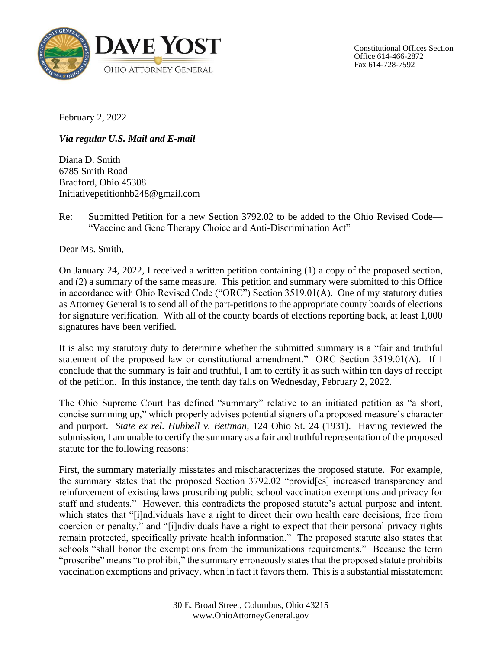

Constitutional Offices Section Office 614-466-2872 Fax 614-728-7592

February 2, 2022

*Via regular U.S. Mail and E-mail*

Diana D. Smith 6785 Smith Road Bradford, Ohio 45308 Initiativepetitionhb248@gmail.com

Re: Submitted Petition for a new Section 3792.02 to be added to the Ohio Revised Code— "Vaccine and Gene Therapy Choice and Anti-Discrimination Act"

Dear Ms. Smith,

On January 24, 2022, I received a written petition containing (1) a copy of the proposed section, and (2) a summary of the same measure. This petition and summary were submitted to this Office in accordance with Ohio Revised Code ("ORC") Section 3519.01(A). One of my statutory duties as Attorney General is to send all of the part-petitions to the appropriate county boards of elections for signature verification. With all of the county boards of elections reporting back, at least 1,000 signatures have been verified.

It is also my statutory duty to determine whether the submitted summary is a "fair and truthful statement of the proposed law or constitutional amendment." ORC Section 3519.01(A). If I conclude that the summary is fair and truthful, I am to certify it as such within ten days of receipt of the petition. In this instance, the tenth day falls on Wednesday, February 2, 2022.

The Ohio Supreme Court has defined "summary" relative to an initiated petition as "a short, concise summing up," which properly advises potential signers of a proposed measure's character and purport. *State ex rel. Hubbell v. Bettman*, 124 Ohio St. 24 (1931). Having reviewed the submission, I am unable to certify the summary as a fair and truthful representation of the proposed statute for the following reasons:

First, the summary materially misstates and mischaracterizes the proposed statute. For example, the summary states that the proposed Section 3792.02 "provid[es] increased transparency and reinforcement of existing laws proscribing public school vaccination exemptions and privacy for staff and students." However, this contradicts the proposed statute's actual purpose and intent, which states that "[i]ndividuals have a right to direct their own health care decisions, free from coercion or penalty," and "[i]ndividuals have a right to expect that their personal privacy rights remain protected, specifically private health information." The proposed statute also states that schools "shall honor the exemptions from the immunizations requirements." Because the term "proscribe" means "to prohibit," the summary erroneously states that the proposed statute prohibits vaccination exemptions and privacy, when in fact it favors them. This is a substantial misstatement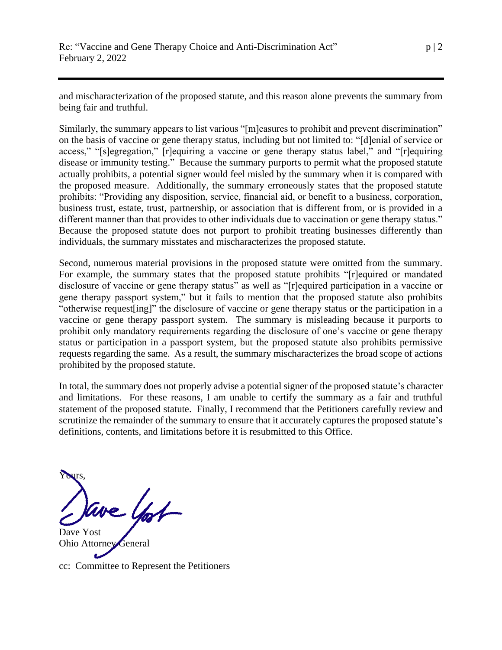and mischaracterization of the proposed statute, and this reason alone prevents the summary from being fair and truthful.

Similarly, the summary appears to list various "[m]easures to prohibit and prevent discrimination" on the basis of vaccine or gene therapy status, including but not limited to: "[d]enial of service or access," "[s]egregation," [r]equiring a vaccine or gene therapy status label," and "[r]equiring disease or immunity testing." Because the summary purports to permit what the proposed statute actually prohibits, a potential signer would feel misled by the summary when it is compared with the proposed measure. Additionally, the summary erroneously states that the proposed statute prohibits: "Providing any disposition, service, financial aid, or benefit to a business, corporation, business trust, estate, trust, partnership, or association that is different from, or is provided in a different manner than that provides to other individuals due to vaccination or gene therapy status." Because the proposed statute does not purport to prohibit treating businesses differently than individuals, the summary misstates and mischaracterizes the proposed statute.

Second, numerous material provisions in the proposed statute were omitted from the summary. For example, the summary states that the proposed statute prohibits "[r]equired or mandated disclosure of vaccine or gene therapy status" as well as "[r]equired participation in a vaccine or gene therapy passport system," but it fails to mention that the proposed statute also prohibits "otherwise request[ing]" the disclosure of vaccine or gene therapy status or the participation in a vaccine or gene therapy passport system. The summary is misleading because it purports to prohibit only mandatory requirements regarding the disclosure of one's vaccine or gene therapy status or participation in a passport system, but the proposed statute also prohibits permissive requests regarding the same. As a result, the summary mischaracterizes the broad scope of actions prohibited by the proposed statute.

In total, the summary does not properly advise a potential signer of the proposed statute's character and limitations. For these reasons, I am unable to certify the summary as a fair and truthful statement of the proposed statute. Finally, I recommend that the Petitioners carefully review and scrutinize the remainder of the summary to ensure that it accurately captures the proposed statute's definitions, contents, and limitations before it is resubmitted to this Office.

Yours,

Dave Yost Ohio Attorney General

cc: Committee to Represent the Petitioners